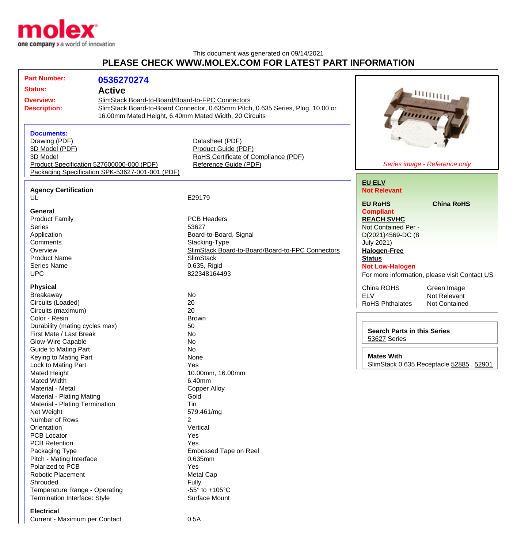

## This document was generated on 09/14/2021 **PLEASE CHECK WWW.MOLEX.COM FOR LATEST PART INFORMATION**

| <b>Part Number:</b>                                                                                                   | 0536270274                                                                                                                                                                                                    |                                                                                                                 |                                                                                                     |
|-----------------------------------------------------------------------------------------------------------------------|---------------------------------------------------------------------------------------------------------------------------------------------------------------------------------------------------------------|-----------------------------------------------------------------------------------------------------------------|-----------------------------------------------------------------------------------------------------|
| <b>Status:</b>                                                                                                        | <b>Active</b><br>SlimStack Board-to-Board/Board-to-FPC Connectors<br>SlimStack Board-to-Board Connector, 0.635mm Pitch, 0.635 Series, Plug, 10.00 or<br>16.00mm Mated Height, 6.40mm Mated Width, 20 Circuits |                                                                                                                 |                                                                                                     |
| <b>Overview:</b><br><b>Description:</b>                                                                               |                                                                                                                                                                                                               |                                                                                                                 | шщщ                                                                                                 |
| <b>Documents:</b><br>Drawing (PDF)<br>3D Model (PDF)<br>3D Model                                                      | Product Specification 527600000-000 (PDF)<br>Packaging Specification SPK-53627-001-001 (PDF)                                                                                                                  | Datasheet (PDF)<br>Product Guide (PDF)<br>RoHS Certificate of Compliance (PDF)<br>Reference Guide (PDF)         | Series image - Reference only                                                                       |
| <b>Agency Certification</b>                                                                                           |                                                                                                                                                                                                               |                                                                                                                 | <b>EU ELV</b><br><b>Not Relevant</b>                                                                |
| UL                                                                                                                    |                                                                                                                                                                                                               | E29179                                                                                                          |                                                                                                     |
| General<br><b>Product Family</b><br><b>Series</b>                                                                     |                                                                                                                                                                                                               | PCB Headers<br>53627                                                                                            | <b>EU RoHS</b><br><b>China RoHS</b><br><b>Compliant</b><br><b>REACH SVHC</b><br>Not Contained Per - |
| Application<br>Comments<br>Overview<br><b>Product Name</b>                                                            |                                                                                                                                                                                                               | Board-to-Board, Signal<br>Stacking-Type<br>SlimStack Board-to-Board/Board-to-FPC Connectors<br><b>SlimStack</b> | D(2021)4569-DC (8<br><b>July 2021)</b><br><b>Halogen-Free</b><br><b>Status</b>                      |
| <b>Series Name</b><br><b>UPC</b>                                                                                      |                                                                                                                                                                                                               | 0.635, Rigid<br>822348164493                                                                                    | <b>Not Low-Halogen</b><br>For more information, please visit Contact US                             |
| <b>Physical</b><br><b>Breakaway</b><br>Circuits (Loaded)<br>Circuits (maximum)<br>Color - Resin                       |                                                                                                                                                                                                               | No<br>20<br>20<br><b>Brown</b>                                                                                  | China ROHS<br>Green Image<br><b>ELV</b><br>Not Relevant<br><b>RoHS Phthalates</b><br>Not Contained  |
| Durability (mating cycles max)<br>First Mate / Last Break<br>Glow-Wire Capable                                        |                                                                                                                                                                                                               | 50<br>No<br>No                                                                                                  | <b>Search Parts in this Series</b><br>53627 Series                                                  |
| <b>Guide to Mating Part</b><br>Keying to Mating Part<br>Lock to Mating Part                                           |                                                                                                                                                                                                               | <b>No</b><br>None<br>Yes                                                                                        | <b>Mates With</b><br>SlimStack 0.635 Receptacle 52885, 52901                                        |
| <b>Mated Height</b><br>Mated Width<br>Material - Metal<br>Material - Plating Mating<br>Material - Plating Termination |                                                                                                                                                                                                               | 10.00mm, 16.00mm<br>6.40mm<br><b>Copper Alloy</b><br>Gold<br>Tin                                                |                                                                                                     |
| Net Weight<br>Number of Rows<br>Orientation<br><b>PCB Locator</b>                                                     |                                                                                                                                                                                                               | 579.461/mg<br>$\overline{2}$<br>Vertical<br>Yes                                                                 |                                                                                                     |
| <b>PCB Retention</b><br>Packaging Type<br>Pitch - Mating Interface<br>Polarized to PCB                                |                                                                                                                                                                                                               | Yes<br>Embossed Tape on Reel<br>0.635mm<br>Yes                                                                  |                                                                                                     |
| <b>Robotic Placement</b><br>Shrouded<br>Temperature Range - Operating<br>Termination Interface: Style                 |                                                                                                                                                                                                               | Metal Cap<br>Fully<br>-55 $\degree$ to +105 $\degree$ C<br>Surface Mount                                        |                                                                                                     |

## **Electrical**

Current - Maximum per Contact 0.5A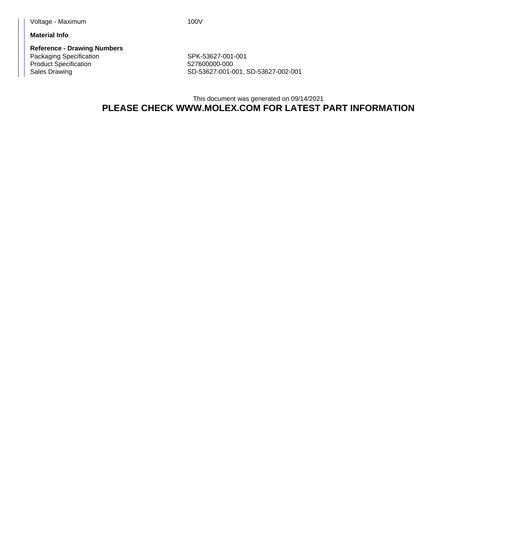**Material Info**

**Reference - Drawing Numbers** Packaging Specification Network SPK-53627-001-001 Product Specification 627600000-000

Sales Drawing Sales Drawing SD-53627-001-001, SD-53627-002-001

This document was generated on 09/14/2021 **PLEASE CHECK WWW.MOLEX.COM FOR LATEST PART INFORMATION**